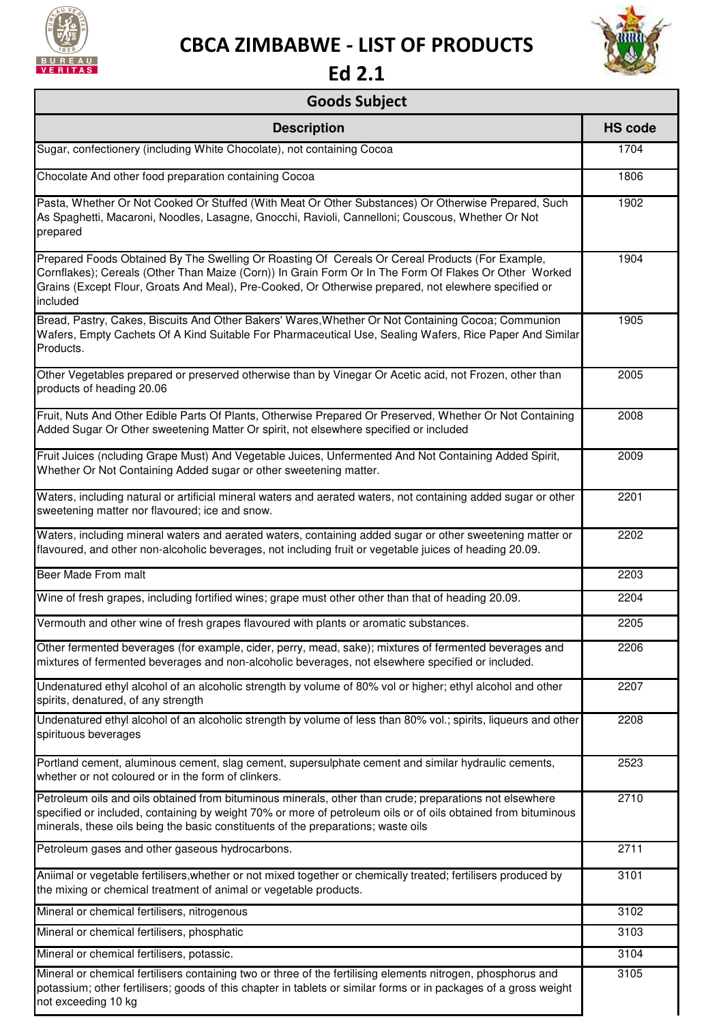

## **CBCA ZIMBABWE - LIST OF PRODUCTS**



**Ed 2.1** 

## **Goods Subject**

| <b>Description</b>                                                                                                                                                                                                                                                                                                           | <b>HS code</b> |
|------------------------------------------------------------------------------------------------------------------------------------------------------------------------------------------------------------------------------------------------------------------------------------------------------------------------------|----------------|
| Sugar, confectionery (including White Chocolate), not containing Cocoa                                                                                                                                                                                                                                                       | 1704           |
| Chocolate And other food preparation containing Cocoa                                                                                                                                                                                                                                                                        | 1806           |
| Pasta, Whether Or Not Cooked Or Stuffed (With Meat Or Other Substances) Or Otherwise Prepared, Such<br>As Spaghetti, Macaroni, Noodles, Lasagne, Gnocchi, Ravioli, Cannelloni; Couscous, Whether Or Not<br>prepared                                                                                                          | 1902           |
| Prepared Foods Obtained By The Swelling Or Roasting Of Cereals Or Cereal Products (For Example,<br>Cornflakes); Cereals (Other Than Maize (Corn)) In Grain Form Or In The Form Of Flakes Or Other Worked<br>Grains (Except Flour, Groats And Meal), Pre-Cooked, Or Otherwise prepared, not elewhere specified or<br>included | 1904           |
| Bread, Pastry, Cakes, Biscuits And Other Bakers' Wares, Whether Or Not Containing Cocoa; Communion<br>Wafers, Empty Cachets Of A Kind Suitable For Pharmaceutical Use, Sealing Wafers, Rice Paper And Similar<br>Products.                                                                                                   | 1905           |
| Other Vegetables prepared or preserved otherwise than by Vinegar Or Acetic acid, not Frozen, other than<br>products of heading 20.06                                                                                                                                                                                         | 2005           |
| Fruit, Nuts And Other Edible Parts Of Plants, Otherwise Prepared Or Preserved, Whether Or Not Containing<br>Added Sugar Or Other sweetening Matter Or spirit, not elsewhere specified or included                                                                                                                            | 2008           |
| Fruit Juices (ncluding Grape Must) And Vegetable Juices, Unfermented And Not Containing Added Spirit,<br>Whether Or Not Containing Added sugar or other sweetening matter.                                                                                                                                                   | 2009           |
| Waters, including natural or artificial mineral waters and aerated waters, not containing added sugar or other<br>sweetening matter nor flavoured; ice and snow.                                                                                                                                                             | 2201           |
| Waters, including mineral waters and aerated waters, containing added sugar or other sweetening matter or<br>flavoured, and other non-alcoholic beverages, not including fruit or vegetable juices of heading 20.09.                                                                                                         | 2202           |
| Beer Made From malt                                                                                                                                                                                                                                                                                                          | 2203           |
| Wine of fresh grapes, including fortified wines; grape must other other than that of heading 20.09.                                                                                                                                                                                                                          | 2204           |
| Vermouth and other wine of fresh grapes flavoured with plants or aromatic substances.                                                                                                                                                                                                                                        | 2205           |
| Other fermented beverages (for example, cider, perry, mead, sake); mixtures of fermented beverages and<br>mixtures of fermented beverages and non-alcoholic beverages, not elsewhere specified or included.                                                                                                                  | 2206           |
| Undenatured ethyl alcohol of an alcoholic strength by volume of 80% vol or higher; ethyl alcohol and other<br>spirits, denatured, of any strength                                                                                                                                                                            | 2207           |
| Undenatured ethyl alcohol of an alcoholic strength by volume of less than 80% vol.; spirits, liqueurs and other<br>spirituous beverages                                                                                                                                                                                      | 2208           |
| Portland cement, aluminous cement, slag cement, supersulphate cement and similar hydraulic cements,<br>whether or not coloured or in the form of clinkers.                                                                                                                                                                   | 2523           |
| Petroleum oils and oils obtained from bituminous minerals, other than crude; preparations not elsewhere<br>specified or included, containing by weight 70% or more of petroleum oils or of oils obtained from bituminous<br>minerals, these oils being the basic constituents of the preparations; waste oils                | 2710           |
| Petroleum gases and other gaseous hydrocarbons.                                                                                                                                                                                                                                                                              | 2711           |
| Aniimal or vegetable fertilisers, whether or not mixed together or chemically treated; fertilisers produced by<br>the mixing or chemical treatment of animal or vegetable products.                                                                                                                                          | 3101           |
| Mineral or chemical fertilisers, nitrogenous                                                                                                                                                                                                                                                                                 | 3102           |
| Mineral or chemical fertilisers, phosphatic                                                                                                                                                                                                                                                                                  | 3103           |
| Mineral or chemical fertilisers, potassic.                                                                                                                                                                                                                                                                                   | 3104           |
| Mineral or chemical fertilisers containing two or three of the fertilising elements nitrogen, phosphorus and<br>potassium; other fertilisers; goods of this chapter in tablets or similar forms or in packages of a gross weight<br>not exceeding 10 kg                                                                      | 3105           |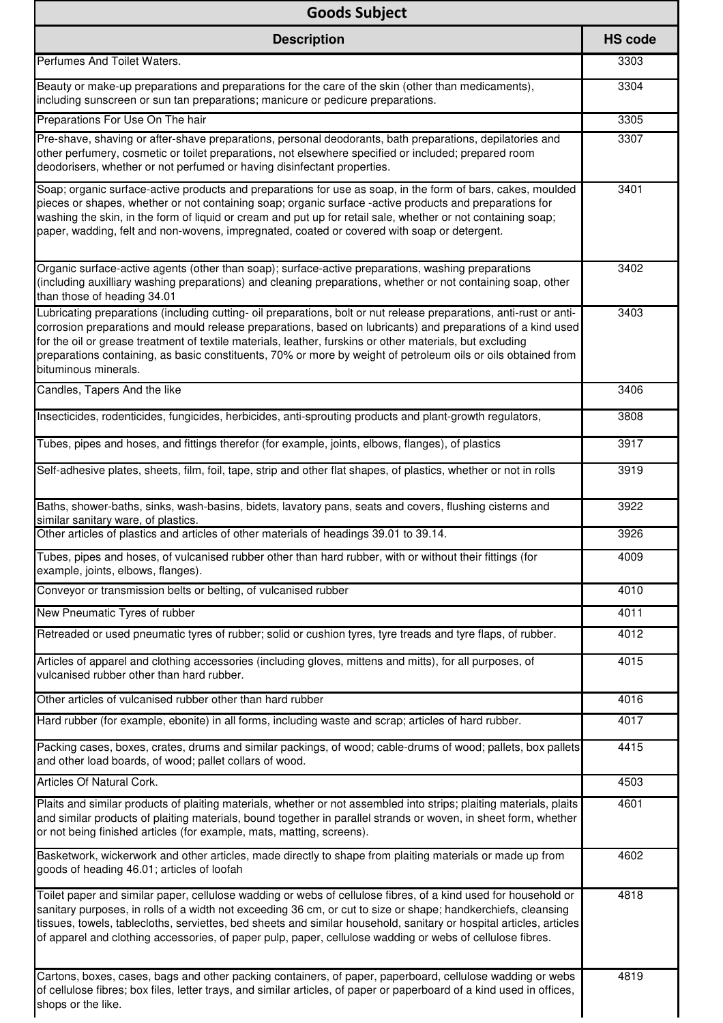| <b>Goods Subject</b>                                                                                                                                                                                                                                                                                                                                                                                                                                                                     |                |
|------------------------------------------------------------------------------------------------------------------------------------------------------------------------------------------------------------------------------------------------------------------------------------------------------------------------------------------------------------------------------------------------------------------------------------------------------------------------------------------|----------------|
| <b>Description</b>                                                                                                                                                                                                                                                                                                                                                                                                                                                                       | <b>HS code</b> |
| Perfumes And Toilet Waters.                                                                                                                                                                                                                                                                                                                                                                                                                                                              | 3303           |
| Beauty or make-up preparations and preparations for the care of the skin (other than medicaments),<br>including sunscreen or sun tan preparations; manicure or pedicure preparations.                                                                                                                                                                                                                                                                                                    | 3304           |
| Preparations For Use On The hair                                                                                                                                                                                                                                                                                                                                                                                                                                                         | 3305           |
| Pre-shave, shaving or after-shave preparations, personal deodorants, bath preparations, depilatories and<br>other perfumery, cosmetic or toilet preparations, not elsewhere specified or included; prepared room<br>deodorisers, whether or not perfumed or having disinfectant properties.                                                                                                                                                                                              | 3307           |
| Soap; organic surface-active products and preparations for use as soap, in the form of bars, cakes, moulded<br>pieces or shapes, whether or not containing soap; organic surface -active products and preparations for<br>washing the skin, in the form of liquid or cream and put up for retail sale, whether or not containing soap;<br>paper, wadding, felt and non-wovens, impregnated, coated or covered with soap or detergent.                                                    | 3401           |
| Organic surface-active agents (other than soap); surface-active preparations, washing preparations<br>(including auxilliary washing preparations) and cleaning preparations, whether or not containing soap, other<br>than those of heading 34.01                                                                                                                                                                                                                                        | 3402           |
| Lubricating preparations (including cutting- oil preparations, bolt or nut release preparations, anti-rust or anti-<br>corrosion preparations and mould release preparations, based on lubricants) and preparations of a kind used<br>for the oil or grease treatment of textile materials, leather, furskins or other materials, but excluding<br>preparations containing, as basic constituents, 70% or more by weight of petroleum oils or oils obtained from<br>bituminous minerals. | 3403           |
| Candles, Tapers And the like                                                                                                                                                                                                                                                                                                                                                                                                                                                             | 3406           |
| Insecticides, rodenticides, fungicides, herbicides, anti-sprouting products and plant-growth regulators,                                                                                                                                                                                                                                                                                                                                                                                 | 3808           |
| Tubes, pipes and hoses, and fittings therefor (for example, joints, elbows, flanges), of plastics                                                                                                                                                                                                                                                                                                                                                                                        | 3917           |
| Self-adhesive plates, sheets, film, foil, tape, strip and other flat shapes, of plastics, whether or not in rolls                                                                                                                                                                                                                                                                                                                                                                        | 3919           |
| Baths, shower-baths, sinks, wash-basins, bidets, lavatory pans, seats and covers, flushing cisterns and<br>similar sanitary ware, of plastics.                                                                                                                                                                                                                                                                                                                                           | 3922           |
| Other articles of plastics and articles of other materials of headings 39.01 to 39.14.                                                                                                                                                                                                                                                                                                                                                                                                   | 3926           |
| Tubes, pipes and hoses, of vulcanised rubber other than hard rubber, with or without their fittings (for<br>example, joints, elbows, flanges).                                                                                                                                                                                                                                                                                                                                           | 4009           |
| Conveyor or transmission belts or belting, of vulcanised rubber                                                                                                                                                                                                                                                                                                                                                                                                                          | 4010           |
| New Pneumatic Tyres of rubber                                                                                                                                                                                                                                                                                                                                                                                                                                                            | 4011           |
| Retreaded or used pneumatic tyres of rubber; solid or cushion tyres, tyre treads and tyre flaps, of rubber.                                                                                                                                                                                                                                                                                                                                                                              | 4012           |
| Articles of apparel and clothing accessories (including gloves, mittens and mitts), for all purposes, of<br>vulcanised rubber other than hard rubber.                                                                                                                                                                                                                                                                                                                                    | 4015           |
| Other articles of vulcanised rubber other than hard rubber                                                                                                                                                                                                                                                                                                                                                                                                                               | 4016           |
| Hard rubber (for example, ebonite) in all forms, including waste and scrap; articles of hard rubber.                                                                                                                                                                                                                                                                                                                                                                                     | 4017           |
| Packing cases, boxes, crates, drums and similar packings, of wood; cable-drums of wood; pallets, box pallets<br>and other load boards, of wood; pallet collars of wood.                                                                                                                                                                                                                                                                                                                  | 4415           |
| Articles Of Natural Cork.                                                                                                                                                                                                                                                                                                                                                                                                                                                                | 4503           |
| Plaits and similar products of plaiting materials, whether or not assembled into strips; plaiting materials, plaits<br>and similar products of plaiting materials, bound together in parallel strands or woven, in sheet form, whether<br>or not being finished articles (for example, mats, matting, screens).                                                                                                                                                                          | 4601           |
| Basketwork, wickerwork and other articles, made directly to shape from plaiting materials or made up from<br>goods of heading 46.01; articles of loofah                                                                                                                                                                                                                                                                                                                                  | 4602           |
| Toilet paper and similar paper, cellulose wadding or webs of cellulose fibres, of a kind used for household or<br>sanitary purposes, in rolls of a width not exceeding 36 cm, or cut to size or shape; handkerchiefs, cleansing<br>tissues, towels, tablecloths, serviettes, bed sheets and similar household, sanitary or hospital articles, articles<br>of apparel and clothing accessories, of paper pulp, paper, cellulose wadding or webs of cellulose fibres.                      | 4818           |
| Cartons, boxes, cases, bags and other packing containers, of paper, paperboard, cellulose wadding or webs<br>of cellulose fibres; box files, letter trays, and similar articles, of paper or paperboard of a kind used in offices,<br>shops or the like.                                                                                                                                                                                                                                 | 4819           |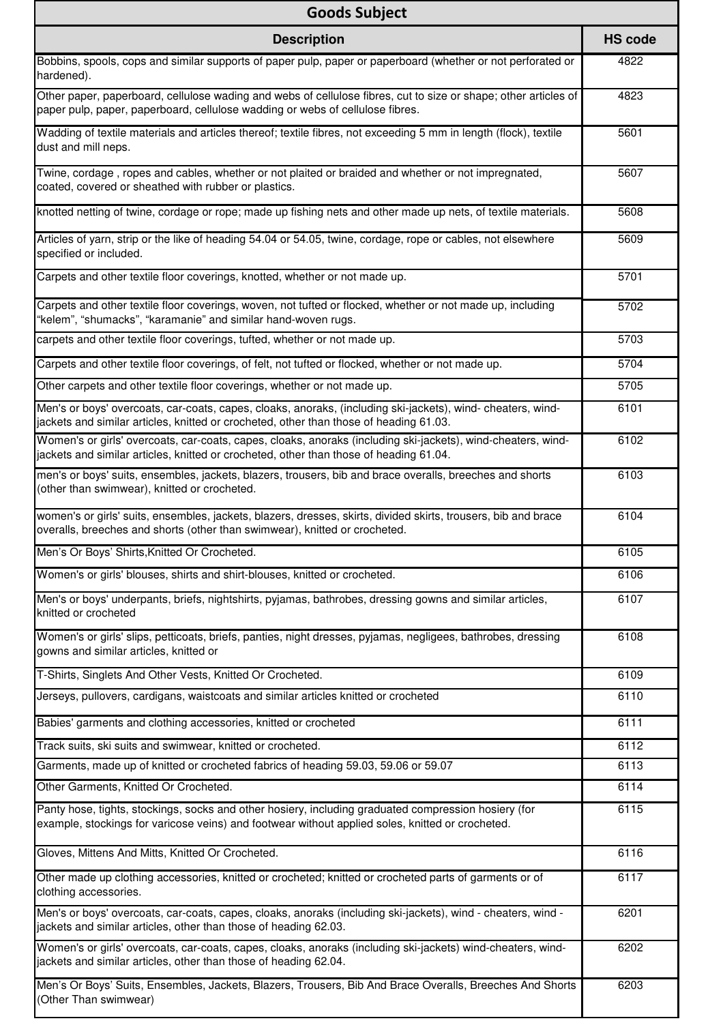| <b>Goods Subject</b>                                                                                                                                                                                     |                |
|----------------------------------------------------------------------------------------------------------------------------------------------------------------------------------------------------------|----------------|
| <b>Description</b>                                                                                                                                                                                       | <b>HS code</b> |
| Bobbins, spools, cops and similar supports of paper pulp, paper or paperboard (whether or not perforated or<br>hardened).                                                                                | 4822           |
| Other paper, paperboard, cellulose wading and webs of cellulose fibres, cut to size or shape; other articles of<br>paper pulp, paper, paperboard, cellulose wadding or webs of cellulose fibres.         | 4823           |
| Wadding of textile materials and articles thereof; textile fibres, not exceeding 5 mm in length (flock), textile<br>dust and mill neps.                                                                  | 5601           |
| Twine, cordage, ropes and cables, whether or not plaited or braided and whether or not impregnated,<br>coated, covered or sheathed with rubber or plastics.                                              | 5607           |
| knotted netting of twine, cordage or rope; made up fishing nets and other made up nets, of textile materials.                                                                                            | 5608           |
| Articles of yarn, strip or the like of heading 54.04 or 54.05, twine, cordage, rope or cables, not elsewhere<br>specified or included.                                                                   | 5609           |
| Carpets and other textile floor coverings, knotted, whether or not made up.                                                                                                                              | 5701           |
| Carpets and other textile floor coverings, woven, not tufted or flocked, whether or not made up, including<br>'kelem", "shumacks", "karamanie" and similar hand-woven rugs.                              | 5702           |
| carpets and other textile floor coverings, tufted, whether or not made up.                                                                                                                               | 5703           |
| Carpets and other textile floor coverings, of felt, not tufted or flocked, whether or not made up.                                                                                                       | 5704           |
| Other carpets and other textile floor coverings, whether or not made up.                                                                                                                                 | 5705           |
| Men's or boys' overcoats, car-coats, capes, cloaks, anoraks, (including ski-jackets), wind- cheaters, wind-<br>jackets and similar articles, knitted or crocheted, other than those of heading 61.03.    | 6101           |
| Women's or girls' overcoats, car-coats, capes, cloaks, anoraks (including ski-jackets), wind-cheaters, wind-<br>jackets and similar articles, knitted or crocheted, other than those of heading 61.04.   | 6102           |
| men's or boys' suits, ensembles, jackets, blazers, trousers, bib and brace overalls, breeches and shorts<br>(other than swimwear), knitted or crocheted.                                                 | 6103           |
| women's or girls' suits, ensembles, jackets, blazers, dresses, skirts, divided skirts, trousers, bib and brace<br>overalls, breeches and shorts (other than swimwear), knitted or crocheted.             | 6104           |
| Men's Or Boys' Shirts, Knitted Or Crocheted.                                                                                                                                                             | 6105           |
| Women's or girls' blouses, shirts and shirt-blouses, knitted or crocheted.                                                                                                                               | 6106           |
| Men's or boys' underpants, briefs, nightshirts, pyjamas, bathrobes, dressing gowns and similar articles,<br>knitted or crocheted                                                                         | 6107           |
| Women's or girls' slips, petticoats, briefs, panties, night dresses, pyjamas, negligees, bathrobes, dressing<br>gowns and similar articles, knitted or                                                   | 6108           |
| T-Shirts, Singlets And Other Vests, Knitted Or Crocheted.                                                                                                                                                | 6109           |
| Jerseys, pullovers, cardigans, waistcoats and similar articles knitted or crocheted                                                                                                                      | 6110           |
| Babies' garments and clothing accessories, knitted or crocheted                                                                                                                                          | 6111           |
| Track suits, ski suits and swimwear, knitted or crocheted.                                                                                                                                               | 6112           |
| Garments, made up of knitted or crocheted fabrics of heading 59.03, 59.06 or 59.07                                                                                                                       | 6113           |
| Other Garments, Knitted Or Crocheted.                                                                                                                                                                    | 6114           |
| Panty hose, tights, stockings, socks and other hosiery, including graduated compression hosiery (for<br>example, stockings for varicose veins) and footwear without applied soles, knitted or crocheted. | 6115           |
| Gloves, Mittens And Mitts, Knitted Or Crocheted.                                                                                                                                                         | 6116           |
| Other made up clothing accessories, knitted or crocheted; knitted or crocheted parts of garments or of<br>clothing accessories.                                                                          | 6117           |
| Men's or boys' overcoats, car-coats, capes, cloaks, anoraks (including ski-jackets), wind - cheaters, wind -<br>jackets and similar articles, other than those of heading 62.03.                         | 6201           |
| Women's or girls' overcoats, car-coats, capes, cloaks, anoraks (including ski-jackets) wind-cheaters, wind-<br>jackets and similar articles, other than those of heading 62.04.                          | 6202           |
| Men's Or Boys' Suits, Ensembles, Jackets, Blazers, Trousers, Bib And Brace Overalls, Breeches And Shorts<br>(Other Than swimwear)                                                                        | 6203           |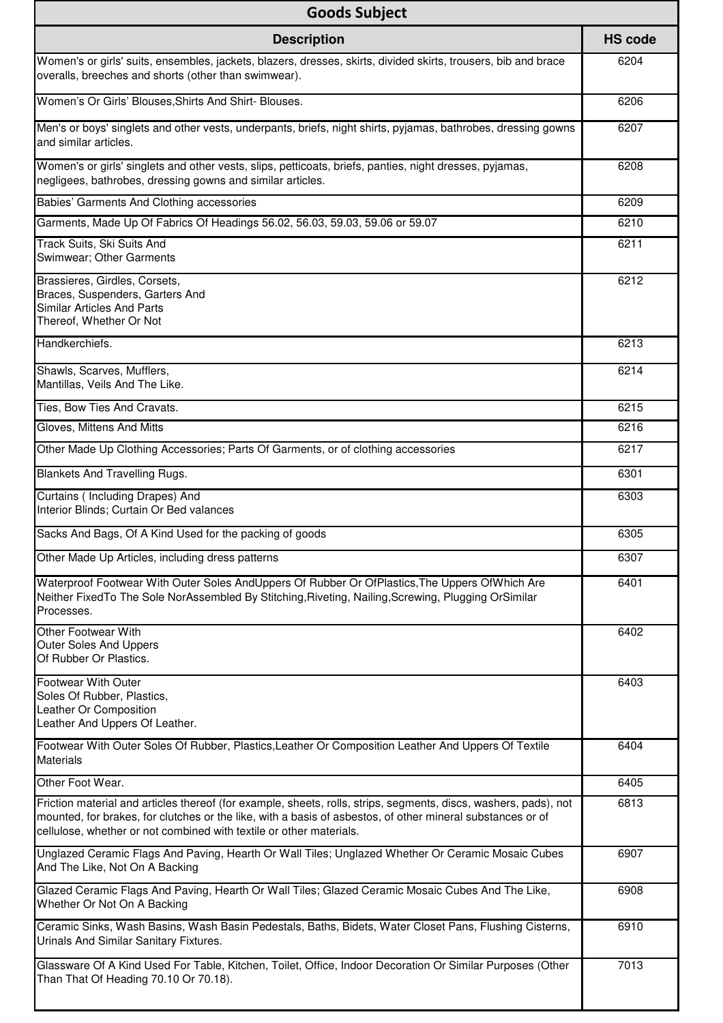| <b>Goods Subject</b>                                                                                                                                                                                                                                                                                  |                |
|-------------------------------------------------------------------------------------------------------------------------------------------------------------------------------------------------------------------------------------------------------------------------------------------------------|----------------|
| <b>Description</b>                                                                                                                                                                                                                                                                                    | <b>HS code</b> |
| Women's or girls' suits, ensembles, jackets, blazers, dresses, skirts, divided skirts, trousers, bib and brace<br>overalls, breeches and shorts (other than swimwear).                                                                                                                                | 6204           |
| Women's Or Girls' Blouses, Shirts And Shirt- Blouses.                                                                                                                                                                                                                                                 | 6206           |
| Men's or boys' singlets and other vests, underpants, briefs, night shirts, pyjamas, bathrobes, dressing gowns<br>and similar articles.                                                                                                                                                                | 6207           |
| Women's or girls' singlets and other vests, slips, petticoats, briefs, panties, night dresses, pyjamas,<br>negligees, bathrobes, dressing gowns and similar articles.                                                                                                                                 | 6208           |
| Babies' Garments And Clothing accessories                                                                                                                                                                                                                                                             | 6209           |
| Garments, Made Up Of Fabrics Of Headings 56.02, 56.03, 59.03, 59.06 or 59.07                                                                                                                                                                                                                          | 6210           |
| Track Suits, Ski Suits And<br>Swimwear; Other Garments                                                                                                                                                                                                                                                | 6211           |
| Brassieres, Girdles, Corsets,<br>Braces, Suspenders, Garters And<br>Similar Articles And Parts<br>Thereof, Whether Or Not                                                                                                                                                                             | 6212           |
| Handkerchiefs.                                                                                                                                                                                                                                                                                        | 6213           |
| Shawls, Scarves, Mufflers,<br>Mantillas, Veils And The Like.                                                                                                                                                                                                                                          | 6214           |
| Ties, Bow Ties And Cravats.                                                                                                                                                                                                                                                                           | 6215           |
| Gloves, Mittens And Mitts                                                                                                                                                                                                                                                                             | 6216           |
| Other Made Up Clothing Accessories; Parts Of Garments, or of clothing accessories                                                                                                                                                                                                                     | 6217           |
| Blankets And Travelling Rugs.                                                                                                                                                                                                                                                                         | 6301           |
| Curtains ( Including Drapes) And<br>Interior Blinds; Curtain Or Bed valances                                                                                                                                                                                                                          | 6303           |
| Sacks And Bags, Of A Kind Used for the packing of goods                                                                                                                                                                                                                                               | 6305           |
| Other Made Up Articles, including dress patterns                                                                                                                                                                                                                                                      | 6307           |
| Waterproof Footwear With Outer Soles AndUppers Of Rubber Or OfPlastics, The Uppers OfWhich Are<br>Neither FixedTo The Sole NorAssembled By Stitching, Riveting, Nailing, Screwing, Plugging OrSimilar<br>Processes.                                                                                   | 6401           |
| Other Footwear With<br><b>Outer Soles And Uppers</b><br>Of Rubber Or Plastics.                                                                                                                                                                                                                        | 6402           |
| <b>Footwear With Outer</b><br>Soles Of Rubber, Plastics,<br>Leather Or Composition<br>Leather And Uppers Of Leather.                                                                                                                                                                                  | 6403           |
| Footwear With Outer Soles Of Rubber, Plastics, Leather Or Composition Leather And Uppers Of Textile<br><b>Materials</b>                                                                                                                                                                               | 6404           |
| Other Foot Wear.                                                                                                                                                                                                                                                                                      | 6405           |
| Friction material and articles thereof (for example, sheets, rolls, strips, segments, discs, washers, pads), not<br>mounted, for brakes, for clutches or the like, with a basis of asbestos, of other mineral substances or of<br>cellulose, whether or not combined with textile or other materials. | 6813           |
| Unglazed Ceramic Flags And Paving, Hearth Or Wall Tiles; Unglazed Whether Or Ceramic Mosaic Cubes<br>And The Like, Not On A Backing                                                                                                                                                                   | 6907           |
| Glazed Ceramic Flags And Paving, Hearth Or Wall Tiles; Glazed Ceramic Mosaic Cubes And The Like,<br>Whether Or Not On A Backing                                                                                                                                                                       | 6908           |
| Ceramic Sinks, Wash Basins, Wash Basin Pedestals, Baths, Bidets, Water Closet Pans, Flushing Cisterns,<br>Urinals And Similar Sanitary Fixtures.                                                                                                                                                      | 6910           |
| Glassware Of A Kind Used For Table, Kitchen, Toilet, Office, Indoor Decoration Or Similar Purposes (Other<br>Than That Of Heading 70.10 Or 70.18).                                                                                                                                                    | 7013           |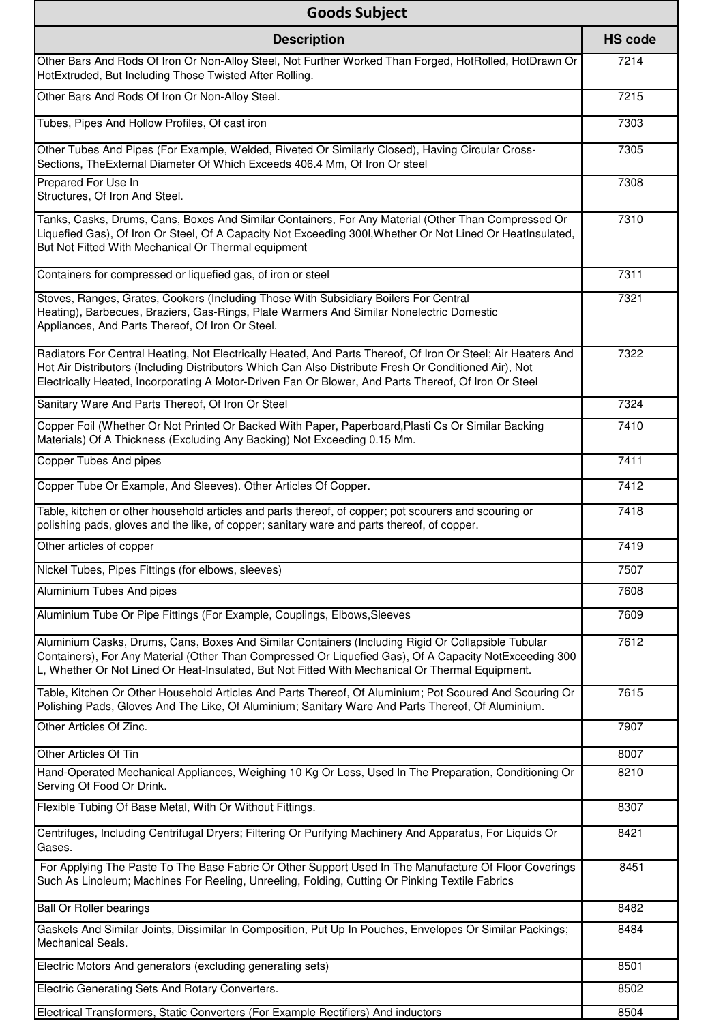| <b>Goods Subject</b>                                                                                                                                                                                                                                                                                                          |                |
|-------------------------------------------------------------------------------------------------------------------------------------------------------------------------------------------------------------------------------------------------------------------------------------------------------------------------------|----------------|
| <b>Description</b>                                                                                                                                                                                                                                                                                                            | <b>HS code</b> |
| Other Bars And Rods Of Iron Or Non-Alloy Steel, Not Further Worked Than Forged, HotRolled, HotDrawn Or<br>HotExtruded, But Including Those Twisted After Rolling.                                                                                                                                                             | 7214           |
| Other Bars And Rods Of Iron Or Non-Alloy Steel.                                                                                                                                                                                                                                                                               | 7215           |
| Tubes, Pipes And Hollow Profiles, Of cast iron                                                                                                                                                                                                                                                                                | 7303           |
| Other Tubes And Pipes (For Example, Welded, Riveted Or Similarly Closed), Having Circular Cross-<br>Sections, The External Diameter Of Which Exceeds 406.4 Mm, Of Iron Or steel                                                                                                                                               | 7305           |
| Prepared For Use In<br>Structures, Of Iron And Steel.                                                                                                                                                                                                                                                                         | 7308           |
| Tanks, Casks, Drums, Cans, Boxes And Similar Containers, For Any Material (Other Than Compressed Or<br>Liquefied Gas), Of Iron Or Steel, Of A Capacity Not Exceeding 300I, Whether Or Not Lined Or HeatInsulated,<br>But Not Fitted With Mechanical Or Thermal equipment                                                      | 7310           |
| Containers for compressed or liquefied gas, of iron or steel                                                                                                                                                                                                                                                                  | 7311           |
| Stoves, Ranges, Grates, Cookers (Including Those With Subsidiary Boilers For Central<br>Heating), Barbecues, Braziers, Gas-Rings, Plate Warmers And Similar Nonelectric Domestic<br>Appliances, And Parts Thereof, Of Iron Or Steel.                                                                                          | 7321           |
| Radiators For Central Heating, Not Electrically Heated, And Parts Thereof, Of Iron Or Steel; Air Heaters And<br>Hot Air Distributors (Including Distributors Which Can Also Distribute Fresh Or Conditioned Air), Not<br>Electrically Heated, Incorporating A Motor-Driven Fan Or Blower, And Parts Thereof, Of Iron Or Steel | 7322           |
| Sanitary Ware And Parts Thereof, Of Iron Or Steel                                                                                                                                                                                                                                                                             | 7324           |
| Copper Foil (Whether Or Not Printed Or Backed With Paper, Paperboard, Plasti Cs Or Similar Backing<br>Materials) Of A Thickness (Excluding Any Backing) Not Exceeding 0.15 Mm.                                                                                                                                                | 7410           |
| Copper Tubes And pipes                                                                                                                                                                                                                                                                                                        | 7411           |
| Copper Tube Or Example, And Sleeves). Other Articles Of Copper.                                                                                                                                                                                                                                                               | 7412           |
| Table, kitchen or other household articles and parts thereof, of copper; pot scourers and scouring or<br>polishing pads, gloves and the like, of copper; sanitary ware and parts thereof, of copper.                                                                                                                          | 7418           |
| Other articles of copper                                                                                                                                                                                                                                                                                                      | 7419           |
| Nickel Tubes, Pipes Fittings (for elbows, sleeves)                                                                                                                                                                                                                                                                            | 7507           |
| Aluminium Tubes And pipes                                                                                                                                                                                                                                                                                                     | 7608           |
| Aluminium Tube Or Pipe Fittings (For Example, Couplings, Elbows, Sleeves                                                                                                                                                                                                                                                      | 7609           |
| Aluminium Casks, Drums, Cans, Boxes And Similar Containers (Including Rigid Or Collapsible Tubular<br>Containers), For Any Material (Other Than Compressed Or Liquefied Gas), Of A Capacity NotExceeding 300<br>L, Whether Or Not Lined Or Heat-Insulated, But Not Fitted With Mechanical Or Thermal Equipment.               | 7612           |
| Table, Kitchen Or Other Household Articles And Parts Thereof, Of Aluminium; Pot Scoured And Scouring Or<br>Polishing Pads, Gloves And The Like, Of Aluminium; Sanitary Ware And Parts Thereof, Of Aluminium.                                                                                                                  | 7615           |
| Other Articles Of Zinc.                                                                                                                                                                                                                                                                                                       | 7907           |
| Other Articles Of Tin                                                                                                                                                                                                                                                                                                         | 8007           |
| Hand-Operated Mechanical Appliances, Weighing 10 Kg Or Less, Used In The Preparation, Conditioning Or<br>Serving Of Food Or Drink.                                                                                                                                                                                            | 8210           |
| Flexible Tubing Of Base Metal, With Or Without Fittings.                                                                                                                                                                                                                                                                      | 8307           |
| Centrifuges, Including Centrifugal Dryers; Filtering Or Purifying Machinery And Apparatus, For Liquids Or<br>Gases.                                                                                                                                                                                                           | 8421           |
| For Applying The Paste To The Base Fabric Or Other Support Used In The Manufacture Of Floor Coverings<br>Such As Linoleum; Machines For Reeling, Unreeling, Folding, Cutting Or Pinking Textile Fabrics                                                                                                                       | 8451           |
| <b>Ball Or Roller bearings</b>                                                                                                                                                                                                                                                                                                | 8482           |
| Gaskets And Similar Joints, Dissimilar In Composition, Put Up In Pouches, Envelopes Or Similar Packings;<br>Mechanical Seals.                                                                                                                                                                                                 | 8484           |
| Electric Motors And generators (excluding generating sets)                                                                                                                                                                                                                                                                    | 8501           |
| Electric Generating Sets And Rotary Converters.                                                                                                                                                                                                                                                                               | 8502           |
| Electrical Transformers, Static Converters (For Example Rectifiers) And inductors                                                                                                                                                                                                                                             | 8504           |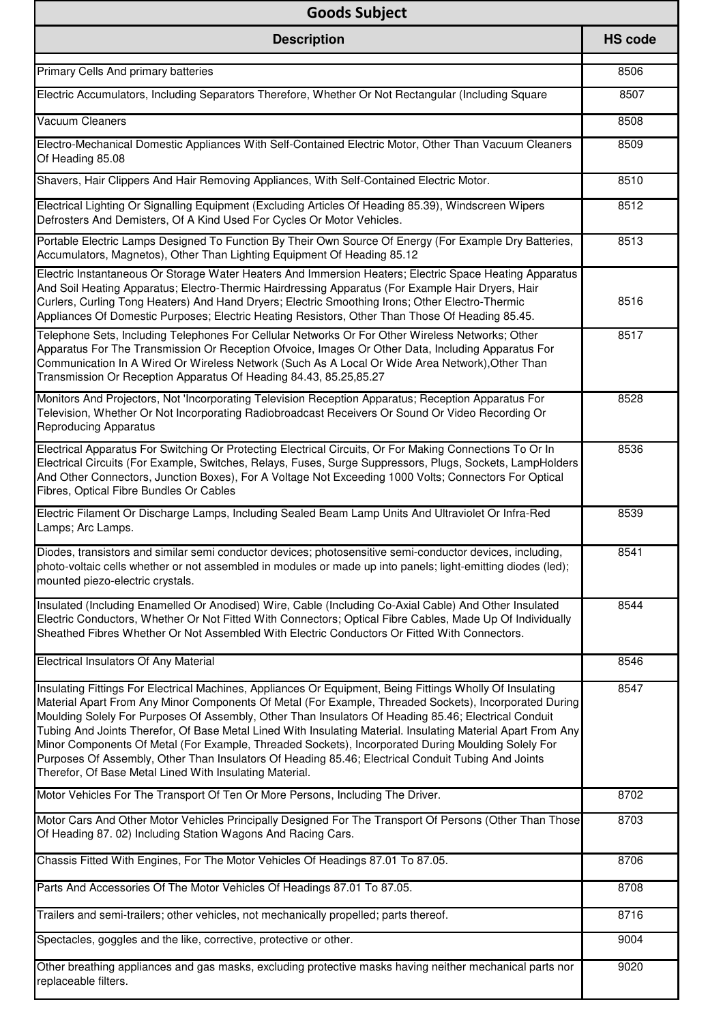| <b>Goods Subject</b>                                                                                                                                                                                                                                                                                                                                                                                                                                                                                                                                                                                                                                                                                               |                |
|--------------------------------------------------------------------------------------------------------------------------------------------------------------------------------------------------------------------------------------------------------------------------------------------------------------------------------------------------------------------------------------------------------------------------------------------------------------------------------------------------------------------------------------------------------------------------------------------------------------------------------------------------------------------------------------------------------------------|----------------|
| <b>Description</b>                                                                                                                                                                                                                                                                                                                                                                                                                                                                                                                                                                                                                                                                                                 | <b>HS code</b> |
| Primary Cells And primary batteries                                                                                                                                                                                                                                                                                                                                                                                                                                                                                                                                                                                                                                                                                | 8506           |
| Electric Accumulators, Including Separators Therefore, Whether Or Not Rectangular (Including Square                                                                                                                                                                                                                                                                                                                                                                                                                                                                                                                                                                                                                | 8507           |
| <b>Vacuum Cleaners</b>                                                                                                                                                                                                                                                                                                                                                                                                                                                                                                                                                                                                                                                                                             | 8508           |
| Electro-Mechanical Domestic Appliances With Self-Contained Electric Motor, Other Than Vacuum Cleaners<br>Of Heading 85.08                                                                                                                                                                                                                                                                                                                                                                                                                                                                                                                                                                                          | 8509           |
| Shavers, Hair Clippers And Hair Removing Appliances, With Self-Contained Electric Motor.                                                                                                                                                                                                                                                                                                                                                                                                                                                                                                                                                                                                                           | 8510           |
| Electrical Lighting Or Signalling Equipment (Excluding Articles Of Heading 85.39), Windscreen Wipers<br>Defrosters And Demisters, Of A Kind Used For Cycles Or Motor Vehicles.                                                                                                                                                                                                                                                                                                                                                                                                                                                                                                                                     | 8512           |
| Portable Electric Lamps Designed To Function By Their Own Source Of Energy (For Example Dry Batteries,<br>Accumulators, Magnetos), Other Than Lighting Equipment Of Heading 85.12                                                                                                                                                                                                                                                                                                                                                                                                                                                                                                                                  | 8513           |
| Electric Instantaneous Or Storage Water Heaters And Immersion Heaters; Electric Space Heating Apparatus<br>And Soil Heating Apparatus; Electro-Thermic Hairdressing Apparatus (For Example Hair Dryers, Hair<br>Curlers, Curling Tong Heaters) And Hand Dryers; Electric Smoothing Irons; Other Electro-Thermic<br>Appliances Of Domestic Purposes; Electric Heating Resistors, Other Than Those Of Heading 85.45.                                                                                                                                                                                                                                                                                                 | 8516           |
| Telephone Sets, Including Telephones For Cellular Networks Or For Other Wireless Networks; Other<br>Apparatus For The Transmission Or Reception Ofvoice, Images Or Other Data, Including Apparatus For<br>Communication In A Wired Or Wireless Network (Such As A Local Or Wide Area Network), Other Than<br>Transmission Or Reception Apparatus Of Heading 84.43, 85.25,85.27                                                                                                                                                                                                                                                                                                                                     | 8517           |
| Monitors And Projectors, Not 'Incorporating Television Reception Apparatus; Reception Apparatus For<br>Television, Whether Or Not Incorporating Radiobroadcast Receivers Or Sound Or Video Recording Or<br><b>Reproducing Apparatus</b>                                                                                                                                                                                                                                                                                                                                                                                                                                                                            | 8528           |
| Electrical Apparatus For Switching Or Protecting Electrical Circuits, Or For Making Connections To Or In<br>Electrical Circuits (For Example, Switches, Relays, Fuses, Surge Suppressors, Plugs, Sockets, LampHolders<br>And Other Connectors, Junction Boxes), For A Voltage Not Exceeding 1000 Volts; Connectors For Optical<br>Fibres, Optical Fibre Bundles Or Cables                                                                                                                                                                                                                                                                                                                                          | 8536           |
| Electric Filament Or Discharge Lamps, Including Sealed Beam Lamp Units And Ultraviolet Or Infra-Red<br>Lamps; Arc Lamps.                                                                                                                                                                                                                                                                                                                                                                                                                                                                                                                                                                                           | 8539           |
| Diodes, transistors and similar semi conductor devices; photosensitive semi-conductor devices, including,<br>photo-voltaic cells whether or not assembled in modules or made up into panels; light-emitting diodes (led);<br>mounted piezo-electric crystals.                                                                                                                                                                                                                                                                                                                                                                                                                                                      | 8541           |
| Insulated (Including Enamelled Or Anodised) Wire, Cable (Including Co-Axial Cable) And Other Insulated<br>Electric Conductors, Whether Or Not Fitted With Connectors; Optical Fibre Cables, Made Up Of Individually<br>Sheathed Fibres Whether Or Not Assembled With Electric Conductors Or Fitted With Connectors.                                                                                                                                                                                                                                                                                                                                                                                                | 8544           |
| Electrical Insulators Of Any Material                                                                                                                                                                                                                                                                                                                                                                                                                                                                                                                                                                                                                                                                              | 8546           |
| Insulating Fittings For Electrical Machines, Appliances Or Equipment, Being Fittings Wholly Of Insulating<br>Material Apart From Any Minor Components Of Metal (For Example, Threaded Sockets), Incorporated During<br>Moulding Solely For Purposes Of Assembly, Other Than Insulators Of Heading 85.46; Electrical Conduit<br>Tubing And Joints Therefor, Of Base Metal Lined With Insulating Material. Insulating Material Apart From Any<br>Minor Components Of Metal (For Example, Threaded Sockets), Incorporated During Moulding Solely For<br>Purposes Of Assembly, Other Than Insulators Of Heading 85.46; Electrical Conduit Tubing And Joints<br>Therefor, Of Base Metal Lined With Insulating Material. | 8547           |
| Motor Vehicles For The Transport Of Ten Or More Persons, Including The Driver.                                                                                                                                                                                                                                                                                                                                                                                                                                                                                                                                                                                                                                     | 8702           |
| Motor Cars And Other Motor Vehicles Principally Designed For The Transport Of Persons (Other Than Those<br>Of Heading 87. 02) Including Station Wagons And Racing Cars.                                                                                                                                                                                                                                                                                                                                                                                                                                                                                                                                            | 8703           |
| Chassis Fitted With Engines, For The Motor Vehicles Of Headings 87.01 To 87.05.                                                                                                                                                                                                                                                                                                                                                                                                                                                                                                                                                                                                                                    | 8706           |
| Parts And Accessories Of The Motor Vehicles Of Headings 87.01 To 87.05.                                                                                                                                                                                                                                                                                                                                                                                                                                                                                                                                                                                                                                            | 8708           |
| Trailers and semi-trailers; other vehicles, not mechanically propelled; parts thereof.                                                                                                                                                                                                                                                                                                                                                                                                                                                                                                                                                                                                                             | 8716           |
| Spectacles, goggles and the like, corrective, protective or other.                                                                                                                                                                                                                                                                                                                                                                                                                                                                                                                                                                                                                                                 | 9004           |
| Other breathing appliances and gas masks, excluding protective masks having neither mechanical parts nor<br>replaceable filters.                                                                                                                                                                                                                                                                                                                                                                                                                                                                                                                                                                                   | 9020           |